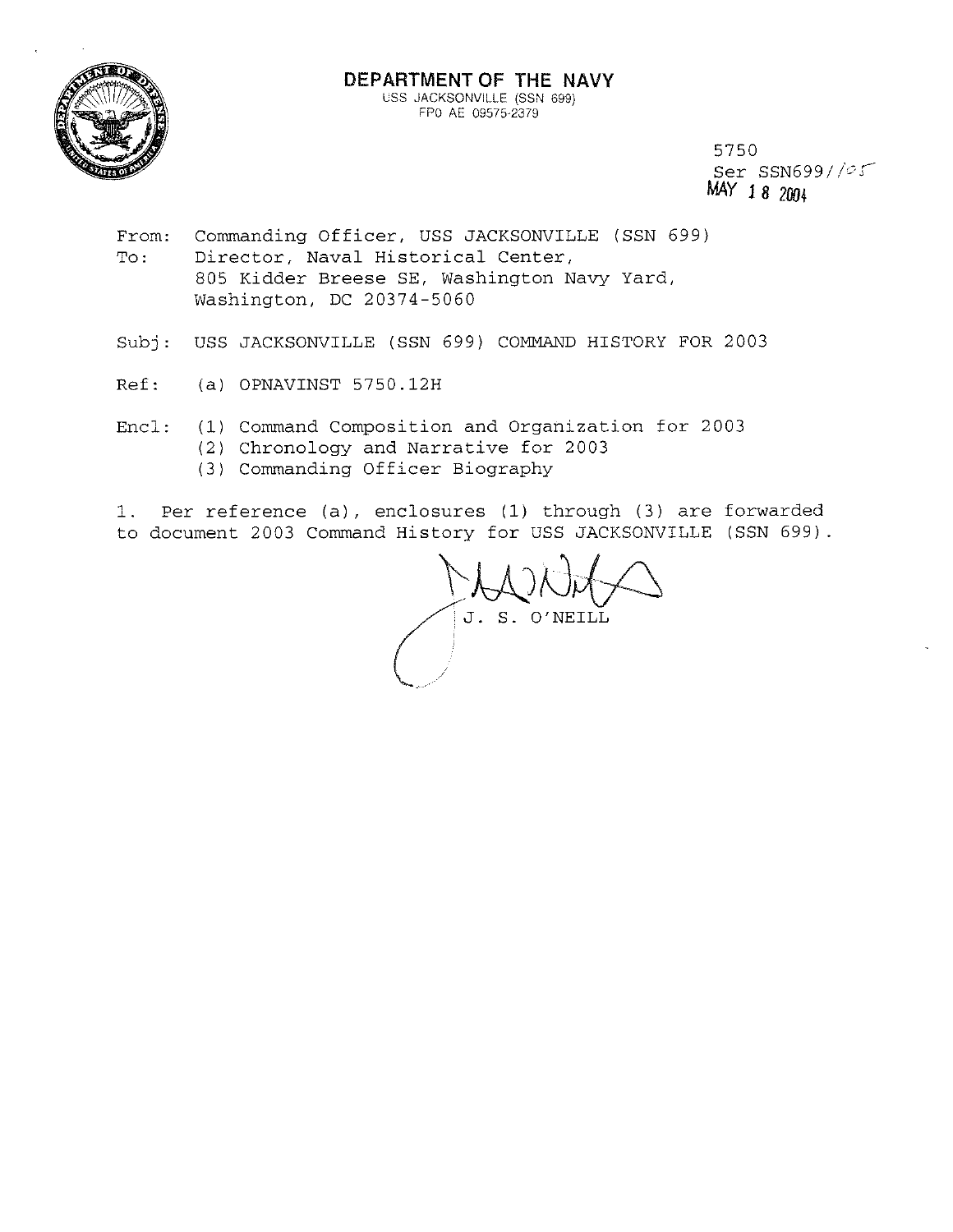

5750 Ser SSN699/ */os-*MAY 1 8 200+

- From: To: Commanding Officer, USS JACKSONVILLE (SSN 699) Director, Naval Historical Center, 805 Kidder Breese SE, Washington Navy Yard, Washington, DC 20374-5060
- Subj: USS JACKSONVILLE (SSN 699) COMMAND HISTORY FOR 2003
- Ref: (a) OPNAVINST 5750.12H
- Encl: (1) Command Composition and Organization for 2003
	- (2) Chronology and Narrative for 2003
		- (3) Commanding Officer Biography

1. Per reference (a), enclosures (1) through (3) are forwarded to document 2003 Command History for USS JACKSONVILLE (SSN 699).

J. S. O'NEILL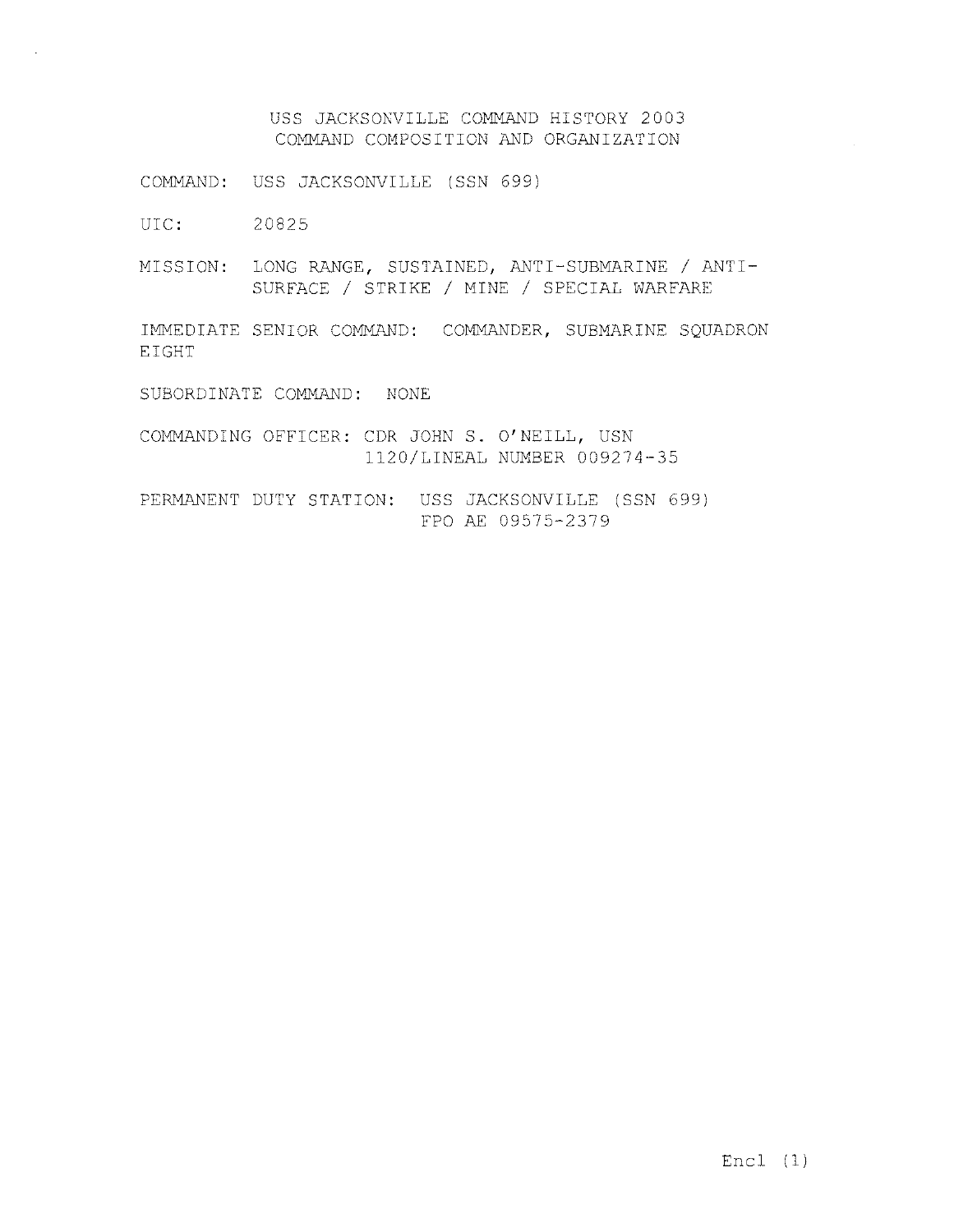USS JACKSOKVILLE COMMAND HISTORY 2003 COMMAND COMPOSITION AND ORGANIZATION

COMMAND: USS JACKSONVILLE (SSN 699)

UIC: 20825

MISSION: LONG RANGE, SUSTAINED, ANTI-SUBMARINE / ANTI-SURFACE / STRIKE / MINE / SPECIAL WARFARE

IMMEDIATE SENIOR COMMAND: COMMANDER, SUBMARINE SQUADRON EIGHT

SUBORDINATE COMMAND: NONE

COMMANDING OFFICER: CDR JOHN S. O'NEILL, USN 1120/LINEAL NUMBER 009274-35

PERMANENT DUTY STATION: USS JACKSONVILLE (SSN 699) FPO AE 09575-2379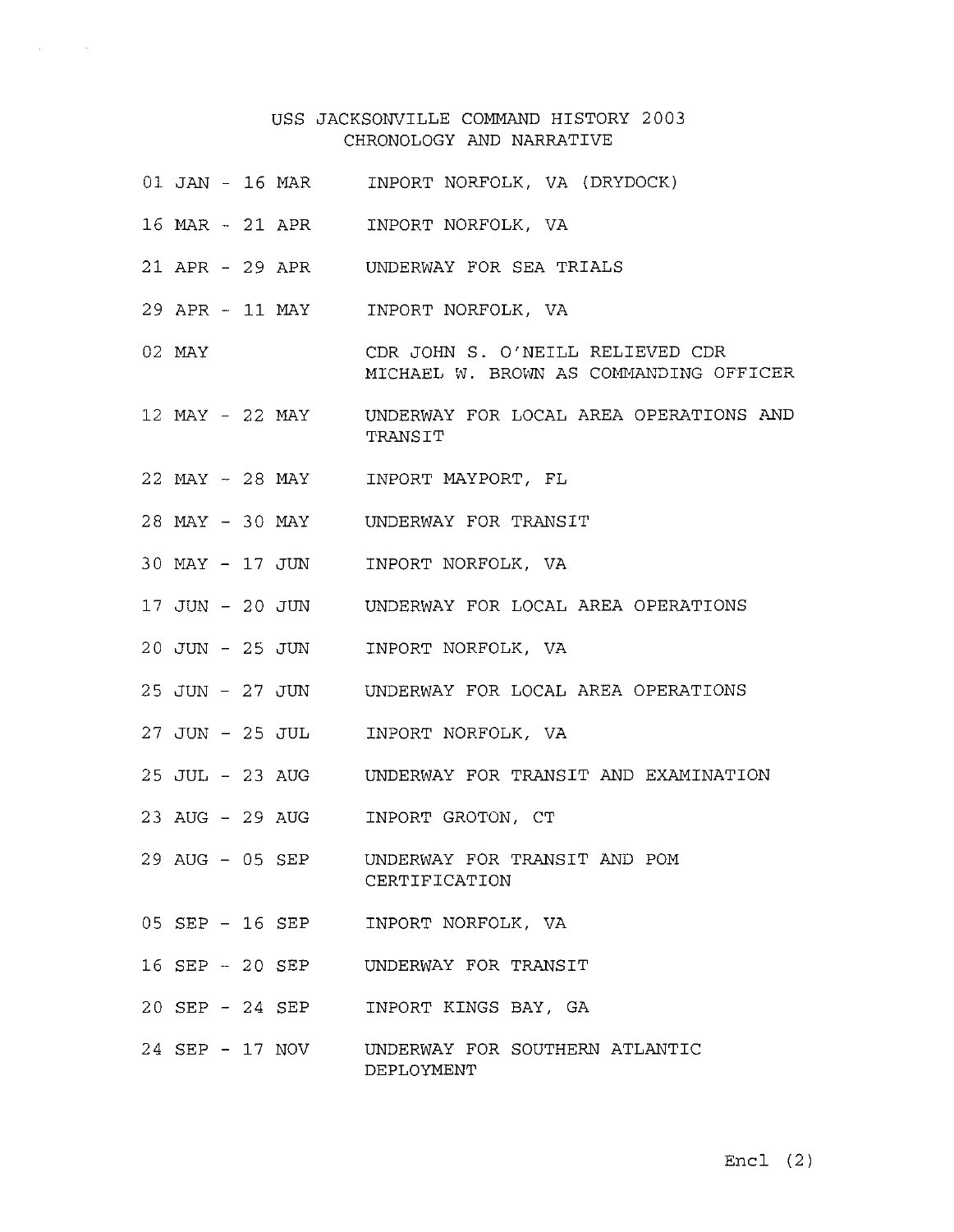## USS JACKSONVILLE COMMAND HISTORY 2003 CHRONOLOGY AND NARRATIVE

- 01 JAN 16 MAR INPORT NORFOLK, VA (DRYDOCK)
- 16 MAR 21 APR INPORT NORFOLK, VA

 $\sim 100$ 

 $\Delta \sim 10^{-11}$ 

- 21 APR 29 APR UNDERWAY FOR SEA TRIALS
- 29 APR 11 MAY INPORT NORFOLK, VA
- 02 MAY CDR JOHN S. O'NEILL RELIEVED CDR MICHAEL W. BROWN AS COMMANDING OFFICER
- 12 MAY 22 MAY UNDERWAY FOR LOCAL AREA OPERATIONS AND TRANSIT
- 22 MAY 28 MAY INPORT MAYPORT, FL
- 28 MAY 30 MAY UNDERWAY FOR TRANSIT
- 30 MAY 17 JUN INPORT NORFOLK, VA
- 17 JUN 20 JUN UNDERWAY FOR LOCAL AREA OPERATIONS
- 20 JUN 25 JUN INPORT NORFOLK, VA
- 25 JUN 27 JUN UNDERWAY FOR LOCAL AREA OPERATIONS
- 27 JUN 25 JUL INPORT NORFOLK, VA
- 25 JUL 23 AUG UNDERWAY FOR TRANSIT AND EXAMINATION
- 23 AUG 29 AUG INPORT GROTON, CT
- 29 AUG 05 SEP UNDERWAY FOR TRANSIT AND POM CERTIFICATION
- 05 SEP 16 SEP INPORT NORFOLK, VA
- 16 SEP 20 SEP UNDERWAY FOR TRANSIT
- 20 SEP 24 SEP INPORT KINGS BAY, GA
- 24 SEP 17 NOV UNDERWAY FOR SOUTHERN ATLANTIC DEPLOYMENT